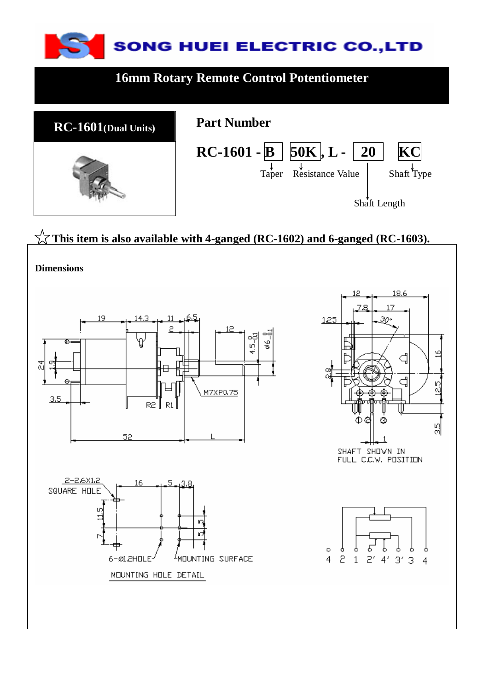

### **16mm Rotary Remote Control Potentiometer**



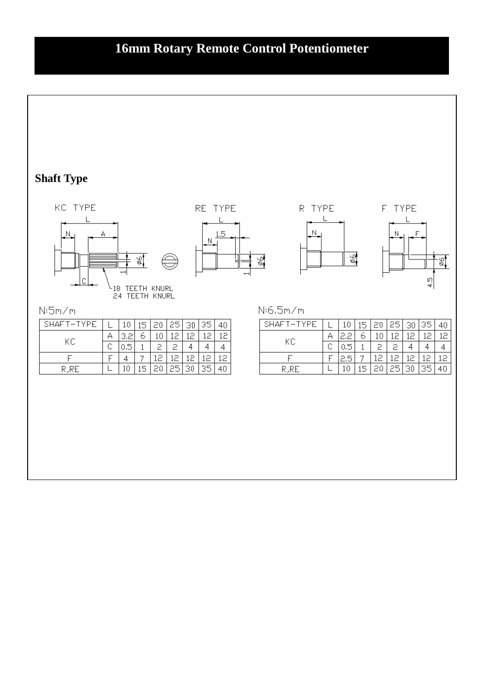## **16mm Rotary Remote Control Potentiometer**